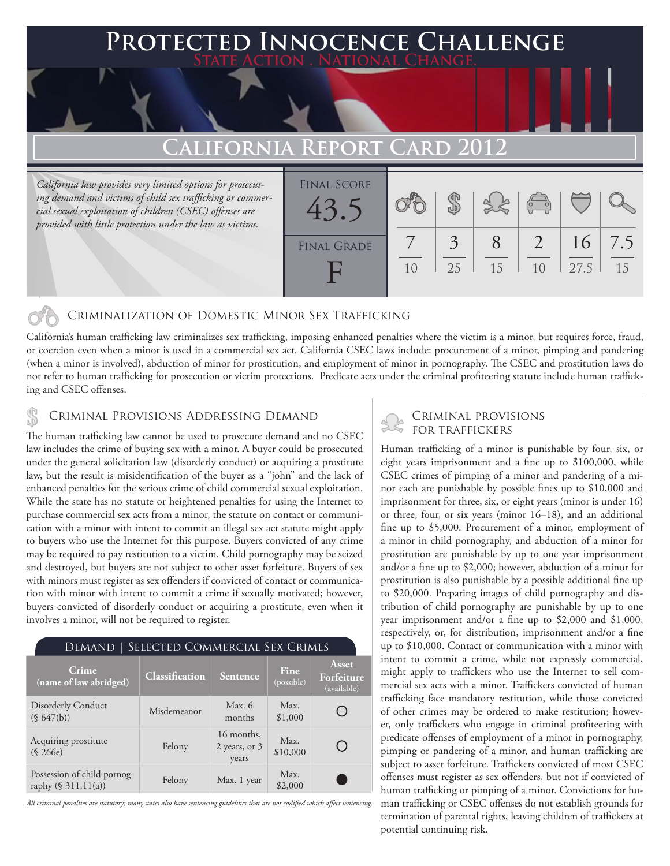## **FED INNOCENCE CHALLENGE State Action . National Change.**

## **California Report Card 2012**

*California law provides very limited options for prosecuting demand and victims of child sex trafficking or commercial sexual exploitation of children (CSEC) offenses are provided with little protection under the law as victims.*

| <b>FINAL SCORE</b><br>43 |    |         |    | $\sigma$       |            |           |
|--------------------------|----|---------|----|----------------|------------|-----------|
| <b>FINAL GRADE</b>       | 10 | 3<br>25 | 15 | 1 <sub>0</sub> | 16<br>27.5 | 7.5<br>15 |

### Criminalization of Domestic Minor Sex Trafficking

California's human trafficking law criminalizes sex trafficking, imposing enhanced penalties where the victim is a minor, but requires force, fraud, or coercion even when a minor is used in a commercial sex act. California CSEC laws include: procurement of a minor, pimping and pandering (when a minor is involved), abduction of minor for prostitution, and employment of minor in pornography. The CSEC and prostitution laws do not refer to human trafficking for prosecution or victim protections. Predicate acts under the criminal profiteering statute include human trafficking and CSEC offenses.

CRIMINAL PROVISIONS ADDRESSING DEMAND<br>The human trafficking law cannot be used to present a demand and no CSEC FOR TRAFFICKERS

The human trafficking law cannot be used to prosecute demand and no CSEC law includes the crime of buying sex with a minor. A buyer could be prosecuted under the general solicitation law (disorderly conduct) or acquiring a prostitute law, but the result is misidentification of the buyer as a "john" and the lack of enhanced penalties for the serious crime of child commercial sexual exploitation. While the state has no statute or heightened penalties for using the Internet to purchase commercial sex acts from a minor, the statute on contact or communication with a minor with intent to commit an illegal sex act statute might apply to buyers who use the Internet for this purpose. Buyers convicted of any crime may be required to pay restitution to a victim. Child pornography may be seized and destroyed, but buyers are not subject to other asset forfeiture. Buyers of sex with minors must register as sex offenders if convicted of contact or communication with minor with intent to commit a crime if sexually motivated; however, buyers convicted of disorderly conduct or acquiring a prostitute, even when it involves a minor, will not be required to register.

| Crime<br>(name of law abridged)                    | Classification | Sentence                             | Fine<br>(possible) | Asset<br>Forfeiture<br>(available) |
|----------------------------------------------------|----------------|--------------------------------------|--------------------|------------------------------------|
| <b>Disorderly Conduct</b><br>(S 647(b))            | Misdemeanor    | Max. $6$<br>months                   | Max.<br>\$1,000    |                                    |
| Acquiring prostitute<br>(S 266e)                   | Felony         | 16 months,<br>2 years, or 3<br>years | Max.<br>\$10,000   |                                    |
| Possession of child pornog-<br>raphy (§ 311.11(a)) | Felony         | Max. 1 year                          | Max.<br>\$2,000    |                                    |

*All criminal penalties are statutory; many states also have sentencing guidelines that are not codified which affect sentencing.* 

Human trafficking of a minor is punishable by four, six, or eight years imprisonment and a fine up to \$100,000, while CSEC crimes of pimping of a minor and pandering of a minor each are punishable by possible fines up to \$10,000 and imprisonment for three, six, or eight years (minor is under 16) or three, four, or six years (minor 16–18), and an additional fine up to \$5,000. Procurement of a minor, employment of a minor in child pornography, and abduction of a minor for prostitution are punishable by up to one year imprisonment and/or a fine up to \$2,000; however, abduction of a minor for prostitution is also punishable by a possible additional fine up to \$20,000. Preparing images of child pornography and distribution of child pornography are punishable by up to one year imprisonment and/or a fine up to \$2,000 and \$1,000, respectively, or, for distribution, imprisonment and/or a fine up to \$10,000. Contact or communication with a minor with intent to commit a crime, while not expressly commercial, might apply to traffickers who use the Internet to sell commercial sex acts with a minor. Traffickers convicted of human trafficking face mandatory restitution, while those convicted of other crimes may be ordered to make restitution; however, only traffickers who engage in criminal profiteering with predicate offenses of employment of a minor in pornography, pimping or pandering of a minor, and human trafficking are subject to asset forfeiture. Traffickers convicted of most CSEC offenses must register as sex offenders, but not if convicted of human trafficking or pimping of a minor. Convictions for human trafficking or CSEC offenses do not establish grounds for termination of parental rights, leaving children of traffickers at potential continuing risk.